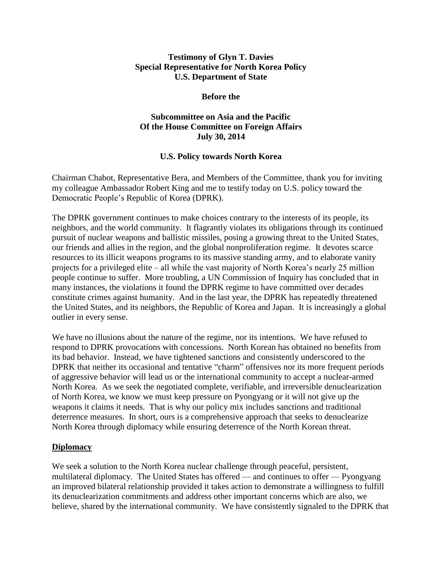#### **Testimony of Glyn T. Davies Special Representative for North Korea Policy U.S. Department of State**

#### **Before the**

# **Subcommittee on Asia and the Pacific Of the House Committee on Foreign Affairs July 30, 2014**

# **U.S. Policy towards North Korea**

Chairman Chabot, Representative Bera, and Members of the Committee, thank you for inviting my colleague Ambassador Robert King and me to testify today on U.S. policy toward the Democratic People's Republic of Korea (DPRK).

The DPRK government continues to make choices contrary to the interests of its people, its neighbors, and the world community. It flagrantly violates its obligations through its continued pursuit of nuclear weapons and ballistic missiles, posing a growing threat to the United States, our friends and allies in the region, and the global nonproliferation regime. It devotes scarce resources to its illicit weapons programs to its massive standing army, and to elaborate vanity projects for a privileged elite – all while the vast majority of North Korea's nearly 25 million people continue to suffer. More troubling, a UN Commission of Inquiry has concluded that in many instances, the violations it found the DPRK regime to have committed over decades constitute crimes against humanity. And in the last year, the DPRK has repeatedly threatened the United States, and its neighbors, the Republic of Korea and Japan. It is increasingly a global outlier in every sense.

We have no illusions about the nature of the regime, nor its intentions. We have refused to respond to DPRK provocations with concessions. North Korean has obtained no benefits from its bad behavior. Instead, we have tightened sanctions and consistently underscored to the DPRK that neither its occasional and tentative "charm" offensives nor its more frequent periods of aggressive behavior will lead us or the international community to accept a nuclear-armed North Korea. As we seek the negotiated complete, verifiable, and irreversible denuclearization of North Korea, we know we must keep pressure on Pyongyang or it will not give up the weapons it claims it needs. That is why our policy mix includes sanctions and traditional deterrence measures. In short, ours is a comprehensive approach that seeks to denuclearize North Korea through diplomacy while ensuring deterrence of the North Korean threat.

#### **Diplomacy**

We seek a solution to the North Korea nuclear challenge through peaceful, persistent, multilateral diplomacy. The United States has offered — and continues to offer — Pyongyang an improved bilateral relationship provided it takes action to demonstrate a willingness to fulfill its denuclearization commitments and address other important concerns which are also, we believe, shared by the international community. We have consistently signaled to the DPRK that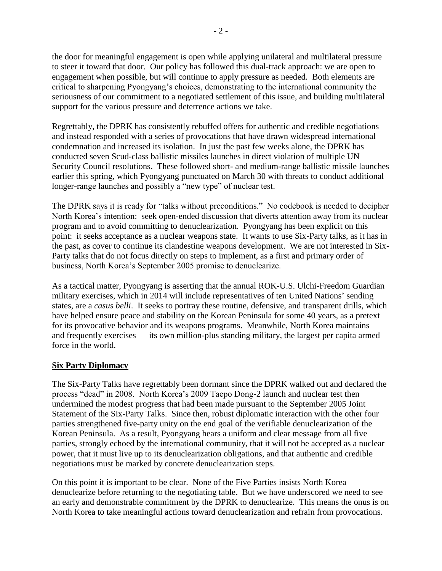the door for meaningful engagement is open while applying unilateral and multilateral pressure to steer it toward that door. Our policy has followed this dual-track approach: we are open to engagement when possible, but will continue to apply pressure as needed. Both elements are critical to sharpening Pyongyang's choices, demonstrating to the international community the seriousness of our commitment to a negotiated settlement of this issue, and building multilateral support for the various pressure and deterrence actions we take.

Regrettably, the DPRK has consistently rebuffed offers for authentic and credible negotiations and instead responded with a series of provocations that have drawn widespread international condemnation and increased its isolation. In just the past few weeks alone, the DPRK has conducted seven Scud-class ballistic missiles launches in direct violation of multiple UN Security Council resolutions. These followed short- and medium-range ballistic missile launches earlier this spring, which Pyongyang punctuated on March 30 with threats to conduct additional longer-range launches and possibly a "new type" of nuclear test.

The DPRK says it is ready for "talks without preconditions." No codebook is needed to decipher North Korea's intention: seek open-ended discussion that diverts attention away from its nuclear program and to avoid committing to denuclearization. Pyongyang has been explicit on this point: it seeks acceptance as a nuclear weapons state. It wants to use Six-Party talks, as it has in the past, as cover to continue its clandestine weapons development. We are not interested in Six-Party talks that do not focus directly on steps to implement, as a first and primary order of business, North Korea's September 2005 promise to denuclearize.

As a tactical matter, Pyongyang is asserting that the annual ROK-U.S. Ulchi-Freedom Guardian military exercises, which in 2014 will include representatives of ten United Nations' sending states, are a *casus belli*. It seeks to portray these routine, defensive, and transparent drills, which have helped ensure peace and stability on the Korean Peninsula for some 40 years, as a pretext for its provocative behavior and its weapons programs. Meanwhile, North Korea maintains and frequently exercises — its own million-plus standing military, the largest per capita armed force in the world.

# **Six Party Diplomacy**

The Six-Party Talks have regrettably been dormant since the DPRK walked out and declared the process "dead" in 2008. North Korea's 2009 Taepo Dong-2 launch and nuclear test then undermined the modest progress that had been made pursuant to the September 2005 Joint Statement of the Six-Party Talks. Since then, robust diplomatic interaction with the other four parties strengthened five-party unity on the end goal of the verifiable denuclearization of the Korean Peninsula. As a result, Pyongyang hears a uniform and clear message from all five parties, strongly echoed by the international community, that it will not be accepted as a nuclear power, that it must live up to its denuclearization obligations, and that authentic and credible negotiations must be marked by concrete denuclearization steps.

On this point it is important to be clear. None of the Five Parties insists North Korea denuclearize before returning to the negotiating table. But we have underscored we need to see an early and demonstrable commitment by the DPRK to denuclearize. This means the onus is on North Korea to take meaningful actions toward denuclearization and refrain from provocations.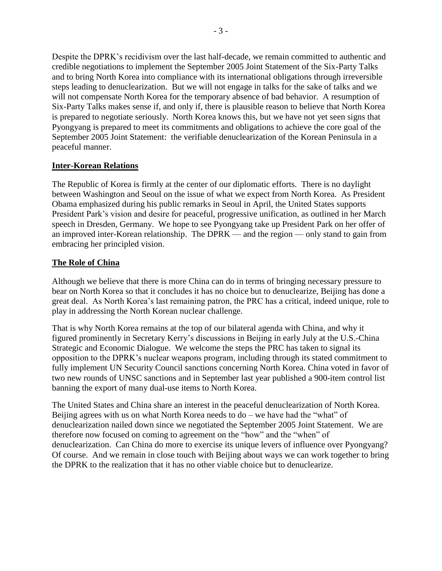Despite the DPRK's recidivism over the last half-decade, we remain committed to authentic and credible negotiations to implement the September 2005 Joint Statement of the Six-Party Talks and to bring North Korea into compliance with its international obligations through irreversible steps leading to denuclearization. But we will not engage in talks for the sake of talks and we will not compensate North Korea for the temporary absence of bad behavior. A resumption of Six-Party Talks makes sense if, and only if, there is plausible reason to believe that North Korea is prepared to negotiate seriously. North Korea knows this, but we have not yet seen signs that Pyongyang is prepared to meet its commitments and obligations to achieve the core goal of the September 2005 Joint Statement: the verifiable denuclearization of the Korean Peninsula in a peaceful manner.

# **Inter-Korean Relations**

The Republic of Korea is firmly at the center of our diplomatic efforts. There is no daylight between Washington and Seoul on the issue of what we expect from North Korea. As President Obama emphasized during his public remarks in Seoul in April, the United States supports President Park's vision and desire for peaceful, progressive unification, as outlined in her March speech in Dresden, Germany. We hope to see Pyongyang take up President Park on her offer of an improved inter-Korean relationship. The DPRK — and the region — only stand to gain from embracing her principled vision.

# **The Role of China**

Although we believe that there is more China can do in terms of bringing necessary pressure to bear on North Korea so that it concludes it has no choice but to denuclearize, Beijing has done a great deal. As North Korea's last remaining patron, the PRC has a critical, indeed unique, role to play in addressing the North Korean nuclear challenge.

That is why North Korea remains at the top of our bilateral agenda with China, and why it figured prominently in Secretary Kerry's discussions in Beijing in early July at the U.S.-China Strategic and Economic Dialogue. We welcome the steps the PRC has taken to signal its opposition to the DPRK's nuclear weapons program, including through its stated commitment to fully implement UN Security Council sanctions concerning North Korea. China voted in favor of two new rounds of UNSC sanctions and in September last year published a 900-item control list banning the export of many dual-use items to North Korea.

The United States and China share an interest in the peaceful denuclearization of North Korea. Beijing agrees with us on what North Korea needs to  $do - we$  have had the "what" of denuclearization nailed down since we negotiated the September 2005 Joint Statement. We are therefore now focused on coming to agreement on the "how" and the "when" of denuclearization. Can China do more to exercise its unique levers of influence over Pyongyang? Of course. And we remain in close touch with Beijing about ways we can work together to bring the DPRK to the realization that it has no other viable choice but to denuclearize.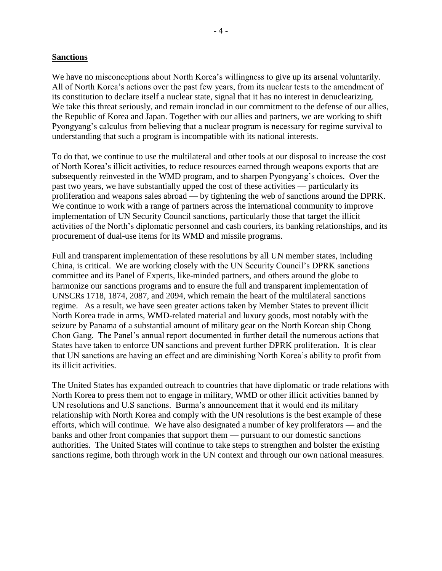#### **Sanctions**

We have no misconceptions about North Korea's willingness to give up its arsenal voluntarily. All of North Korea's actions over the past few years, from its nuclear tests to the amendment of its constitution to declare itself a nuclear state, signal that it has no interest in denuclearizing. We take this threat seriously, and remain ironclad in our commitment to the defense of our allies, the Republic of Korea and Japan. Together with our allies and partners, we are working to shift Pyongyang's calculus from believing that a nuclear program is necessary for regime survival to understanding that such a program is incompatible with its national interests.

To do that, we continue to use the multilateral and other tools at our disposal to increase the cost of North Korea's illicit activities, to reduce resources earned through weapons exports that are subsequently reinvested in the WMD program, and to sharpen Pyongyang's choices. Over the past two years, we have substantially upped the cost of these activities — particularly its proliferation and weapons sales abroad — by tightening the web of sanctions around the DPRK. We continue to work with a range of partners across the international community to improve implementation of UN Security Council sanctions, particularly those that target the illicit activities of the North's diplomatic personnel and cash couriers, its banking relationships, and its procurement of dual-use items for its WMD and missile programs.

Full and transparent implementation of these resolutions by all UN member states, including China, is critical. We are working closely with the UN Security Council's DPRK sanctions committee and its Panel of Experts, like-minded partners, and others around the globe to harmonize our sanctions programs and to ensure the full and transparent implementation of UNSCRs 1718, 1874, 2087, and 2094, which remain the heart of the multilateral sanctions regime. As a result, we have seen greater actions taken by Member States to prevent illicit North Korea trade in arms, WMD-related material and luxury goods, most notably with the seizure by Panama of a substantial amount of military gear on the North Korean ship Chong Chon Gang. The Panel's annual report documented in further detail the numerous actions that States have taken to enforce UN sanctions and prevent further DPRK proliferation. It is clear that UN sanctions are having an effect and are diminishing North Korea's ability to profit from its illicit activities.

The United States has expanded outreach to countries that have diplomatic or trade relations with North Korea to press them not to engage in military, WMD or other illicit activities banned by UN resolutions and U.S sanctions. Burma's announcement that it would end its military relationship with North Korea and comply with the UN resolutions is the best example of these efforts, which will continue. We have also designated a number of key proliferators — and the banks and other front companies that support them — pursuant to our domestic sanctions authorities. The United States will continue to take steps to strengthen and bolster the existing sanctions regime, both through work in the UN context and through our own national measures.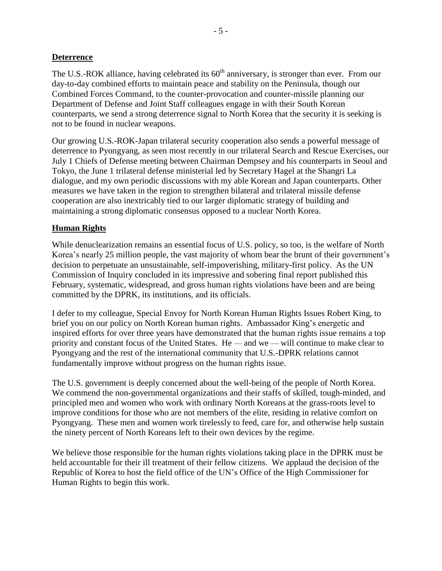# **Deterrence**

The U.S.-ROK alliance, having celebrated its  $60<sup>th</sup>$  anniversary, is stronger than ever. From our day-to-day combined efforts to maintain peace and stability on the Peninsula, though our Combined Forces Command, to the counter-provocation and counter-missile planning our Department of Defense and Joint Staff colleagues engage in with their South Korean counterparts, we send a strong deterrence signal to North Korea that the security it is seeking is not to be found in nuclear weapons.

Our growing U.S.-ROK-Japan trilateral security cooperation also sends a powerful message of deterrence to Pyongyang, as seen most recently in our trilateral Search and Rescue Exercises, our July 1 Chiefs of Defense meeting between Chairman Dempsey and his counterparts in Seoul and Tokyo, the June 1 trilateral defense ministerial led by Secretary Hagel at the Shangri La dialogue, and my own periodic discussions with my able Korean and Japan counterparts. Other measures we have taken in the region to strengthen bilateral and trilateral missile defense cooperation are also inextricably tied to our larger diplomatic strategy of building and maintaining a strong diplomatic consensus opposed to a nuclear North Korea.

# **Human Rights**

While denuclearization remains an essential focus of U.S. policy, so too, is the welfare of North Korea's nearly 25 million people, the vast majority of whom bear the brunt of their government's decision to perpetuate an unsustainable, self-impoverishing, military-first policy. As the UN Commission of Inquiry concluded in its impressive and sobering final report published this February, systematic, widespread, and gross human rights violations have been and are being committed by the DPRK, its institutions, and its officials.

I defer to my colleague, Special Envoy for North Korean Human Rights Issues Robert King, to brief you on our policy on North Korean human rights. Ambassador King's energetic and inspired efforts for over three years have demonstrated that the human rights issue remains a top priority and constant focus of the United States. He — and we — will continue to make clear to Pyongyang and the rest of the international community that U.S.-DPRK relations cannot fundamentally improve without progress on the human rights issue.

The U.S. government is deeply concerned about the well-being of the people of North Korea. We commend the non-governmental organizations and their staffs of skilled, tough-minded, and principled men and women who work with ordinary North Koreans at the grass-roots level to improve conditions for those who are not members of the elite, residing in relative comfort on Pyongyang. These men and women work tirelessly to feed, care for, and otherwise help sustain the ninety percent of North Koreans left to their own devices by the regime.

We believe those responsible for the human rights violations taking place in the DPRK must be held accountable for their ill treatment of their fellow citizens. We applaud the decision of the Republic of Korea to host the field office of the UN's Office of the High Commissioner for Human Rights to begin this work.